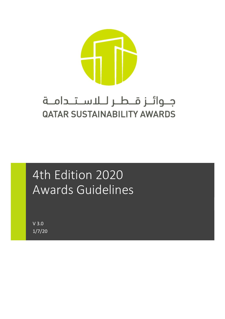

## جـوائـز قــطـر لــلاســتــدامــة **QATAR SUSTAINABILITY AWARDS**

# 4th Edition 2020 Awards Guidelines

V 3.0 1/7/20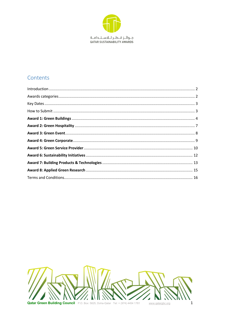

### Contents

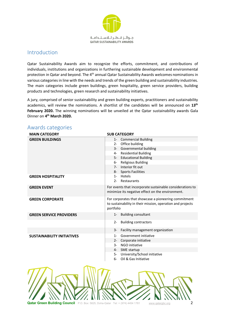

### Introduction

Qatar Sustainability Awards aim to recognize the efforts, commitment, and contributions of individuals, institutions and organizations in furthering sustainable development and environmental protection in Qatar and beyond. The 4<sup>th</sup> annual Qatar Sustainability Awards welcomes nominations in various categories in line with the needs and trends of the green building and sustainability industries. The main categories include green buildings, green hospitality, green service providers, building products and technologies, green research and sustainability initiatives.

A jury, comprised of senior sustainability and green building experts, practitioners and sustainability academics, will review the nominations. A shortlist of the candidates will be announced on **13th** February 2020. The winning nominations will be unveiled at the Qatar sustainability awards Gala Dinner on **4th March 2020.**

| <b>MAIN CATEGORY</b>              | <b>SUB CATEGORY</b>                                        |
|-----------------------------------|------------------------------------------------------------|
| <b>GREEN BUILDINGS</b>            | 1- Commercial Building                                     |
|                                   | Office building<br>$2 -$                                   |
|                                   | Governmental building<br>3-                                |
|                                   | 4- Residential Building                                    |
|                                   | 5- Educational Building                                    |
|                                   | <b>Religious Building</b><br>6-                            |
|                                   | 7- Interior fit out                                        |
|                                   | <b>Sports Facilities</b><br>8-                             |
| <b>GREEN HOSPITALITY</b>          | Hotels<br>$1 -$                                            |
|                                   | $2 -$<br>Restaurants                                       |
| <b>GREEN EVENT</b>                | For events that incorporate sustainable considerations to  |
|                                   | minimize its negative effect on the environment.           |
| <b>GREEN CORPORATE</b>            | For corporates that showcase a pioneering commitment       |
|                                   | to sustainability in their mission, operation and projects |
|                                   | portfolio                                                  |
|                                   | $1 -$                                                      |
| <b>GREEN SERVICE PROVIDERS</b>    | <b>Building consultant</b>                                 |
|                                   | <b>Building contractors</b><br>2-                          |
|                                   |                                                            |
|                                   | Facility management organization<br>3-                     |
| <b>SUSTAINABILITY INITIATIVES</b> | Government initiative<br>1-                                |
|                                   | Corporate initiative<br>$2 -$                              |
|                                   | NGO initiative<br>3-                                       |
|                                   | SME startup<br>4-                                          |
|                                   | 5- University/School initiative                            |
|                                   | Oil & Gas Initiative<br>6-                                 |
|                                   |                                                            |
|                                   |                                                            |
|                                   |                                                            |

### Awards categories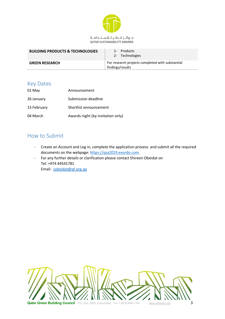

#### جوائز قطر للاستدامة QATAR SUSTAINABILITY AWARDS

| <b>BUILDING PRODUCTS &amp; TECHNOLOGIES</b> | 1- Products<br>2- Technologies                                       |
|---------------------------------------------|----------------------------------------------------------------------|
| <b>GREEN RESEARCH</b>                       | For research projects completed with substantial<br>findings/results |

### Key Dates

| 01 May      | Announcement                      |
|-------------|-----------------------------------|
| 26 January  | Submission deadline               |
| 13 February | Shortlist announcement            |
| 04 March    | Awards night (by invitation only) |

### How to Submit

- Create an Account and Log in, complete the application process and submit all the required documents on the webpage: https://qsa2019.exordo.com.
- For any further details or clarification please contact Shireen Obeidat on Tel: +974 44541781 Email: sobeidat@qf.org.qa

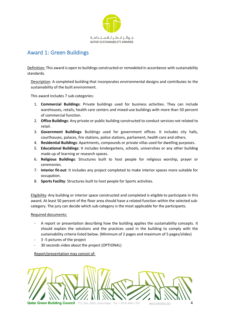

### Award 1: Green Buildings

Definition: This award is open to buildings constructed or remodeled in accordance with sustainability standards.

Description: A completed building that incorporates environmental designs and contributes to the sustainability of the built environment.

This award includes 7 sub-categories:

- 1. **Commercial Buildings**: Private buildings used for business activities. They can include warehouses, retails, health care centers and mixed-use buildings with more than 50 percent of commercial function.
- 2. **Office Buildings**: Any private or public building constructed to conduct services not related to retail.
- 3. **Government Buildings**: Buildings used for government offices. It includes city halls, courthouses, palaces, fire stations, police stations, parliament, health care and others.
- 4. **Residential Buildings**: Apartments, compounds or private villas used for dwelling purposes.
- 5. **Educational Buildings**: It includes kindergartens, schools, universities or any other building made up of learning or research spaces.
- 6. **Religious Buildings**: Structures built to host people for religious worship, prayer or ceremonies.
- 7. **Interior fit-out**: It includes any project completed to make interior spaces more suitable for occupation.
- 8. **Sports Facility**: Structures built to host people for Sports activities.

Eligibility: Any building or interior space constructed and completed is eligible to participate in this award. At least 50 percent of the floor area should have a related function within the selected subcategory. The jury can decide which sub-category is the most applicable for the participants.

### Required documents:

- A report or presentation describing how the building applies the sustainability concepts. It should explain the solutions and the practices used in the building to comply with the sustainability criteria listed below. (Minimum of 2 pages and maximum of 5 pages/slides)
- 3 -5 pictures of the project
- 30 seconds video about the project (OPTIONAL)

Report/presentation may consist of:

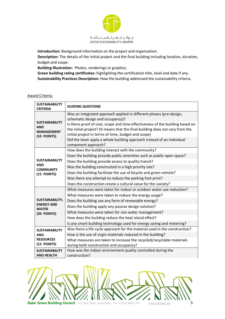

**Introduction:** Background information on the project and organization.

**Description:** The details of the initial project and the final building including location, duration, budget and scope.

**Building Illustration:** Photos, renderings or graphics.

**Green building rating certificates:** highlighting the certification title, level and date if any. **Sustainability Practices Description:** How the building addressed the sustainability criteria.

|--|

| <b>SUSTAINABILITY</b><br><b>CRITERIA</b>                                | <b>GUIDING QUESTIONS</b>                                                                                                                                                                                              |
|-------------------------------------------------------------------------|-----------------------------------------------------------------------------------------------------------------------------------------------------------------------------------------------------------------------|
| <b>SUSTAINABILITY</b><br><b>AND</b><br><b>MANAGEMENT</b><br>(10 POINTS) | Was an integrated approach applied in different phases (pre-design,<br>schematic design and occupancy)?                                                                                                               |
|                                                                         | Is there proof of cost, scope and time effectiveness of the building based on<br>the initial project? (It means that the final building does not vary from the<br>initial project in terms of time, budget and scope) |
|                                                                         | Did the team apply a whole building approach instead of an individual<br>component approach?                                                                                                                          |
|                                                                         | How does the building interact with the community?                                                                                                                                                                    |
|                                                                         | Does the building provide public amenities such as public open space?                                                                                                                                                 |
| <b>SUSTAINABILITY</b>                                                   | Does the building provide access to quality transit?                                                                                                                                                                  |
| <b>AND</b><br><b>COMMUNITY</b>                                          | Was the building constructed in a high priority site?                                                                                                                                                                 |
| (15 POINTS)                                                             | Does the building facilitate the use of bicycle and green vehicle?                                                                                                                                                    |
|                                                                         | Was there any attempt to reduce the parking foot print?                                                                                                                                                               |
|                                                                         | Does the construction create a cultural value for the society?                                                                                                                                                        |
|                                                                         | What measures were taken for indoor or outdoor water use reduction?                                                                                                                                                   |
|                                                                         | What measures were taken to reduce the energy usage?                                                                                                                                                                  |
| <b>SUSTAINABILITY,</b>                                                  | Does the building use any form of renewable energy?                                                                                                                                                                   |
| <b>ENERGY AND</b><br><b>WATER</b>                                       | Does the building apply any passive design solution?                                                                                                                                                                  |
| (20 POINTS)                                                             | What measures were taken for rain water management?                                                                                                                                                                   |
|                                                                         | How does the building reduce the heat island effect?                                                                                                                                                                  |
|                                                                         | Is any smart building technology used for energy saving and metering?                                                                                                                                                 |
| <b>SUSTAINABILITY</b><br><b>AND</b>                                     | Was there a life cycle approach for the material used in the construction?                                                                                                                                            |
|                                                                         | How is the use of virgin materials reduced in the building?                                                                                                                                                           |
| <b>RESOURCES</b>                                                        | What measures are taken to increase the recycled/recyclable materials                                                                                                                                                 |
| (15 POINTS)                                                             | during both construction and occupancy?                                                                                                                                                                               |
| <b>SUSTAINABILITY</b>                                                   | How was the indoor environment quality controlled during the                                                                                                                                                          |
| <b>AND HEALTH</b>                                                       | construction?                                                                                                                                                                                                         |

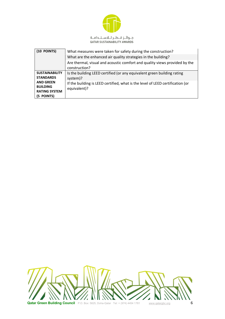

| (10 POINTS)                                                               | What measures were taken for safety during the construction?                                   |
|---------------------------------------------------------------------------|------------------------------------------------------------------------------------------------|
|                                                                           | What are the enhanced air quality strategies in the building?                                  |
|                                                                           | Are thermal, visual and acoustic comfort and quality views provided by the<br>construction?    |
| <b>SUSTAINABILITY</b><br><b>STANDARDS</b>                                 | Is the building LEED certified (or any equivalent green building rating<br>system)?            |
| <b>AND GREEN</b><br><b>BUILDING</b><br><b>RATING SYSTEM</b><br>(5 POINTS) | If the building is LEED certified, what is the level of LEED certification (or<br>equivalent)? |

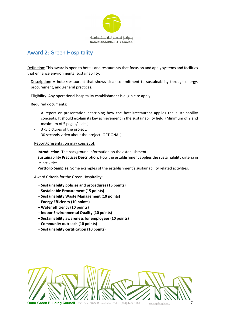

### Award 2: Green Hospitality

Definition: This award is open to hotels and restaurants that focus on and apply systems and facilities that enhance environmental sustainability.

Description: A hotel/restaurant that shows clear commitment to sustainability through energy, procurement, and general practices.

Eligibility: Any operational hospitality establishment is eligible to apply.

Required documents:

- A report or presentation describing how the hotel/restaurant applies the sustainability concepts. It should explain its key achievement in the sustainability field. (Minimum of 2 and maximum of 5 pages/slides).
- 3 -5 pictures of the project.
- 30 seconds video about the project (OPTIONAL).

### Report/presentation may consist of:

**Introduction:** The background information on the establishment.

**Sustainability Practices Description:** How the establishment appliesthe sustainability criteria in its activities.

**Portfolio Samples:** Some examples of the establishment's sustainability related activities.

#### Award Criteria for the Green Hospitality:

- **Sustainability policies and procedures (15 points)**
- **Sustainable Procurement (15 points)**
- **Sustainability Waste Management (10 points)**
- **Energy Efficiency (10 points)**
- **Water efficiency (10 points)**
- **Indoor Environmental Quality (10 points)**
- **Sustainability awareness for employees (10 points)**
- **Community outreach (10 points)**
- **Sustainability certification (10 points)**

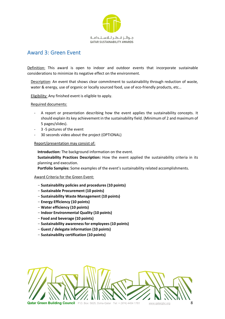

### Award 3: Green Event

Definition: This award is open to indoor and outdoor events that incorporate sustainable considerations to minimize its negative effect on the environment.

Description: An event that shows clear commitment to sustainability through reduction of waste, water & energy, use of organic or locally sourced food, use of eco-friendly products, etc…

Eligibility: Any finished event is eligible to apply.

Required documents:

- A report or presentation describing how the event applies the sustainability concepts. It should explain its key achievement in the sustainability field. (Minimum of 2 and maximum of 5 pages/slides).
- 3 -5 pictures of the event
- 30 seconds video about the project (OPTIONAL)

### Report/presentation may consist of:

**Introduction:** The background information on the event.

**Sustainability Practices Description:** How the event applied the sustainability criteria in its planning and execution.

**Portfolio Samples:** Some examples of the event's sustainability related accomplishments.

#### Award Criteria for the Green Event:

- **Sustainability policies and procedures (10 points)**
- **Sustainable Procurement (10 points)**
- **Sustainability Waste Management (10 points)**
- **Energy Efficiency (10 points)**
- **Water efficiency (10 points)**
- **Indoor Environmental Quality (10 points)**
- **Food and beverage (10 points)**
- **Sustainability awareness for employees (10 points)**
- **Guest / delegate information (10 points)**
- **Sustainability certification (10 points)**

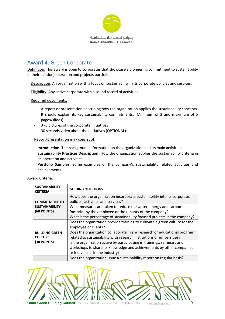

### Award 4: Green Corporate

Definition: This award is open to corporates that showcase a pioneering commitment to sustainability in their mission, operation and projects portfolio.

Description: An organization with a focus on sustainability in its corporate policies and services.

Eligibility: Any active corporate with a sound record of activities.

Required documents:

- A report or presentation describing how the organization applies the sustainability concepts. It should explain its key sustainability commitments. (Minimum of 2 and maximum of 5 pages/slides)
- 3 -5 pictures of the corporate initiatives
- 30 seconds video about the initiatives (OPTIONAL)

### Report/presentation may consist of:

**Introduction:** The background information on the organization and its main activities.

**Sustainability Practices Description:** How the organization applies the sustainability criteria in its operation and activities.

**Portfolio Samples:** Some examples of the company's sustainability related activities and achievements.

| <b>SUSTAINABILITY</b><br><b>CRITERIA</b>               | <b>GUIDING QUESTIONS</b>                                                                                                                                                          |
|--------------------------------------------------------|-----------------------------------------------------------------------------------------------------------------------------------------------------------------------------------|
| <b>COMMITMENT TO</b>                                   | How does the organization incorporate sustainability into its corporate,<br>policies, activities and services?                                                                    |
| <b>SUSTAINABILITY</b><br>(60 POINTS)                   | What measures are taken to reduce the water, energy and carbon<br>footprint by the employee or the tenants of the company?                                                        |
|                                                        | What is the percentage of sustainability focused projects in the company?                                                                                                         |
|                                                        | Does the organization provide training to cultivate a green culture for the<br>employee or clients?                                                                               |
| <b>BUILDING GREEN</b><br><b>CULTURE</b><br>(30 POINTS) | Does the organization collaborate in any research or educational program<br>related to sustainability with research institutions or universities?                                 |
|                                                        | Is the organization active by participating in trainings, seminars and<br>workshops to share its knowledge and achievements by other companies<br>or individuals in the industry? |
|                                                        | Does the organization issue a sustainability report on regular basis?                                                                                                             |



**Qatar Green Building Council** P.O. Box: 5825, Doha-Qatar Tel: + (974) 4454 1781 www.gatargbc.org

#### Award Criteria: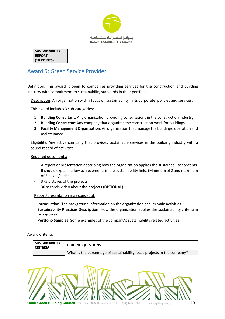

**SUSTAINABILITY REPORT (10 POINTS)**

### Award 5: Green Service Provider

Definition: This award is open to companies providing services for the construction and building industry with commitment to sustainability standards in their portfolio.

Description: An organization with a focus on sustainability in its corporate, policies and services.

This award includes 3 sub-categories:

- 1. **Building Consultant:** Any organization providing consultations in the construction industry.
- 2. **Building Contractor**: Any company that organizes the construction work for buildings.
- 3. **Facility ManagementOrganization**: An organization that manage the buildings' operation and maintenance.

Eligibility: Any active company that provides sustainable services in the building industry with a sound record of activities.

#### Required documents:

- A report or presentation describing how the organization applies the sustainability concepts. It should explain its key achievementsin the sustainability field. (Minimum of 2 and maximum of 5 pages/slides)
- 3 -5 pictures of the projects
- 30 seconds video about the projects (OPTIONAL)

Report/presentation may consist of:

**Introduction:** The background information on the organization and its main activities. **Sustainability Practices Description:** How the organization applies the sustainability criteria in its activities.

**Portfolio Samples:** Some examples of the company's sustainability related activities.

#### Award Criteria:

| <b>SUSTAINABILITY</b><br><b>CRITERIA</b> | <b>GUIDING QUESTIONS</b>                                                |
|------------------------------------------|-------------------------------------------------------------------------|
|                                          | What is the percentage of sustainability focus projects in the company? |

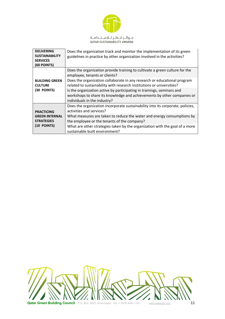

| <b>DELIVERING</b><br><b>SUSTAINABILITY</b><br><b>SERVICES</b><br>(60 POINTS)   | Does the organization track and monitor the implementation of its green<br>guidelines in practice by other organization involved in the activities?                                                                                                                                                                                                                                                                                                    |
|--------------------------------------------------------------------------------|--------------------------------------------------------------------------------------------------------------------------------------------------------------------------------------------------------------------------------------------------------------------------------------------------------------------------------------------------------------------------------------------------------------------------------------------------------|
| <b>BUILDING GREEN</b><br><b>CULTURE</b><br>(30 POINTS)                         | Does the organization provide training to cultivate a green culture for the<br>employee, tenants or clients?<br>Does the organization collaborate in any research or educational program<br>related to sustainability with research institutions or universities?<br>Is the organization active by participating in trainings, seminars and<br>workshops to share its knowledge and achievements by other companies or<br>individuals in the industry? |
| <b>PRACTICING</b><br><b>GREEN INTERNAL</b><br><b>STRATEGIES</b><br>(10 POINTS) | Does the organization incorporate sustainability into its corporate, policies,<br>activities and services?<br>What measures are taken to reduce the water and energy consumptions by<br>the employee or the tenants of the company?<br>What are other strategies taken by the organization with the goal of a more<br>sustainable built environment?                                                                                                   |

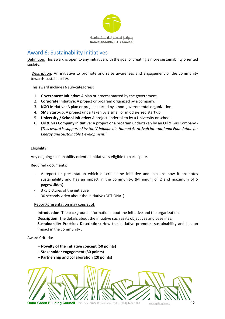

### Award 6: Sustainability Initiatives

Definition: This award is open to any initiative with the goal of creating a more sustainability oriented society.

Description: An initiative to promote and raise awareness and engagement of the community towards sustainability.

This award includes 6 sub-categories:

- 1. **Government Initiative:** A plan or process started by the government.
- 2. **Corporate Initiative**: A project or program organized by a company.
- 3. **NGO Initiative**: A plan or project started by a non-governmental organization.
- 4. **SME Start-up:** A project undertaken by a small or middle-sized start up.
- 5. **University / School Initiative:** A project undertaken by a University or school.
- 6. **Oil & Gas Company initiative:** A project or a program undertaken by an Oil & Gas Company (*This award is supported by the* '*Abdullah bin Hamad Al-Attiyah International Foundation for Energy and Sustainable Development.'*

#### Eligibility:

Any ongoing sustainability oriented initiative is eligible to participate.

#### Required documents:

- A report or presentation which describes the initiative and explains how it promotes sustainability and has an impact in the community. (Minimum of 2 and maximum of 5 pages/slides)
- 3 -5 pictures of the initiative
- 30 seconds video about the initiative (OPTIONAL)

### Report/presentation may consist of:

**Introduction:** The background information about the initiative and the organization.

**Description:** The details about the initiative such as its objectives and baselines.

**Sustainability Practices Description:** How the initiative promotes sustainability and has an impact in the community .

#### Award Criteria:

- **Novelty of the initiative concept (50 points)**
- **Stakeholder engagement (30 points)**
- **Partnership and collaboration (20 points)**

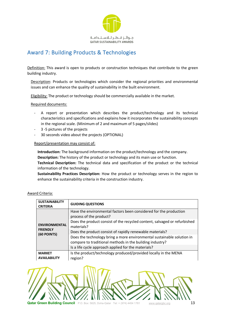

### Award 7: Building Products & Technologies

Definition: This award is open to products or construction techniques that contribute to the green building industry.

Description: Products or technologies which consider the regional priorities and environmental issues and can enhance the quality of sustainability in the built environment.

Eligibility: The product or technology should be commercially available in the market.

Required documents:

- A report or presentation which describes the product/technology and its technical characteristics and specifications and explains how it incorporates the sustainability concepts in the regional scale. (Minimum of 2 and maximum of 5 pages/slides)
- 3 -5 pictures of the projects
- 30 seconds video about the projects (OPTIONAL)

### Report/presentation may consist of:

**Introduction:** The background information on the product/technology and the company. **Description:** The history of the product or technology and its main use or function.

**Technical Description:** The technical data and specification of the product or the technical information of the technology.

**Sustainability Practices Description:** How the product or technology serves in the region to enhance the sustainability criteria in the construction industry.

| <b>SUSTAINABILITY</b><br><b>CRITERIA</b>               | <b>GUIDING QUESTIONS</b>                                                                                                           |
|--------------------------------------------------------|------------------------------------------------------------------------------------------------------------------------------------|
| <b>ENVIRONMENTAL</b><br><b>FRIENDLY</b><br>(60 POINTS) | Have the environmental factors been considered for the production<br>process of the product?                                       |
|                                                        | Does the product consist of the recycled content, salvaged or refurbished<br>materials?                                            |
|                                                        | Does the product consist of rapidly renewable materials?                                                                           |
|                                                        | Does the technology bring a more environmental sustainable solution in<br>compare to traditional methods in the building industry? |
|                                                        | Is a life cycle approach applied for the materials?                                                                                |
| <b>MARKET</b><br><b>AVAILABILITY</b>                   | Is the product/technology produced/provided locally in the MENA<br>region?                                                         |

### Award Criteria:

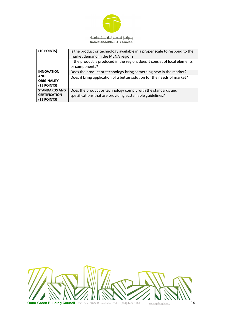

| (10 POINTS)                                                          | Is the product or technology available in a proper scale to respond to the<br>market demand in the MENA region?<br>If the product is produced in the region, does it consist of local elements<br>or components? |
|----------------------------------------------------------------------|------------------------------------------------------------------------------------------------------------------------------------------------------------------------------------------------------------------|
| <b>INNOVATION</b><br><b>AND</b><br><b>ORIGINALITY</b><br>(15 POINTS) | Does the product or technology bring something new in the market?<br>Does it bring application of a better solution for the needs of market?                                                                     |
| <b>STANDARDS AND</b><br><b>CERTIFICATION</b><br>(15 POINTS)          | Does the product or technology comply with the standards and<br>specifications that are providing sustainable guidelines?                                                                                        |

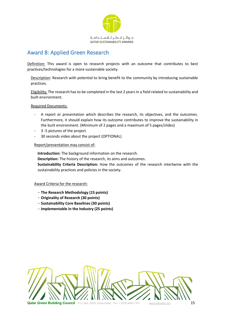

### Award 8: Applied Green Research

Definition: This award is open to research projects with an outcome that contributes to best practices/technologies for a more sustainable society.

Description: Research with potential to bring benefit to the community by introducing sustainable practices.

Eligibility: The research has to be completed in the last 2 years in a field related to sustainability and built environment.

### Required Documents:

- A report or presentation which describes the research, its objectives, and the outcomes. Furthermore, it should explain how its outcome contributes to improve the sustainability in the built environment. (Minimum of 2 pages and a maximum of 5 pages/slides)
- 3 -5 pictures of the project
- 30 seconds video about the project (OPTIONAL)

### Report/presentation may consist of:

**Introduction:** The background information on the research.

**Description:** The history of the research, its aims and outcomes.

**Sustainability Criteria Description:** How the outcomes of the research intertwine with the sustainability practices and policies in the society.

#### Award Criteria for the research:

- **The Research Methodology (15 points)**
- **Originality of Research (30 points)**
- **Sustainability Core Baselines (30 points)**
- **Implementable in the Industry (25 points)**